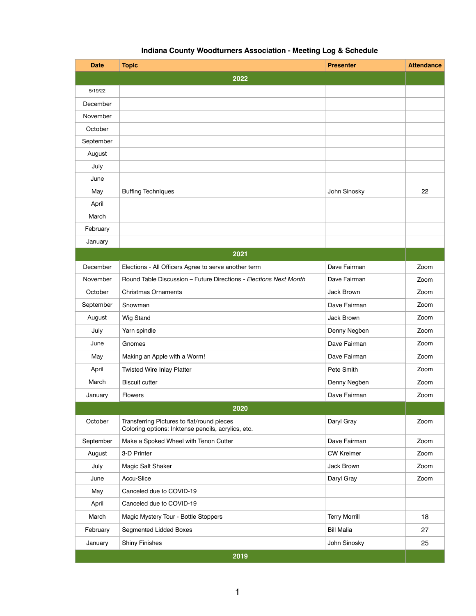## **Indiana County Woodturners Association - Meeting Log & Schedule**

| <b>Date</b> | <b>Topic</b>                                                                                     | <b>Presenter</b>     | <b>Attendance</b> |  |
|-------------|--------------------------------------------------------------------------------------------------|----------------------|-------------------|--|
| 2022        |                                                                                                  |                      |                   |  |
| 5/19/22     |                                                                                                  |                      |                   |  |
| December    |                                                                                                  |                      |                   |  |
| November    |                                                                                                  |                      |                   |  |
| October     |                                                                                                  |                      |                   |  |
| September   |                                                                                                  |                      |                   |  |
| August      |                                                                                                  |                      |                   |  |
| July        |                                                                                                  |                      |                   |  |
| June        |                                                                                                  |                      |                   |  |
| May         | <b>Buffing Techniques</b>                                                                        | John Sinosky         | 22                |  |
| April       |                                                                                                  |                      |                   |  |
| March       |                                                                                                  |                      |                   |  |
| February    |                                                                                                  |                      |                   |  |
| January     |                                                                                                  |                      |                   |  |
|             | 2021                                                                                             |                      |                   |  |
| December    | Elections - All Officers Agree to serve another term                                             | Dave Fairman         | Zoom              |  |
| November    | Round Table Discussion - Future Directions - Elections Next Month                                | Dave Fairman         | Zoom              |  |
| October     | <b>Christmas Ornaments</b>                                                                       | Jack Brown           | Zoom              |  |
| September   | Snowman                                                                                          | Dave Fairman         | Zoom              |  |
| August      | <b>Wig Stand</b>                                                                                 | Jack Brown           | Zoom              |  |
| July        | Yarn spindle                                                                                     | Denny Negben         | Zoom              |  |
| June        | Gnomes                                                                                           | Dave Fairman         | Zoom              |  |
| May         | Making an Apple with a Worm!                                                                     | Dave Fairman         | Zoom              |  |
| April       | <b>Twisted Wire Inlay Platter</b>                                                                | Pete Smith           | Zoom              |  |
| March       | <b>Biscuit cutter</b>                                                                            | Denny Negben         | Zoom              |  |
| January     | Flowers                                                                                          | Dave Fairman         | Zoom              |  |
| 2020        |                                                                                                  |                      |                   |  |
| October     | Transferring Pictures to flat/round pieces<br>Coloring options: Inktense pencils, acrylics, etc. | Daryl Gray           | Zoom              |  |
| September   | Make a Spoked Wheel with Tenon Cutter                                                            | Dave Fairman         | Zoom              |  |
| August      | 3-D Printer                                                                                      | <b>CW Kreimer</b>    | Zoom              |  |
| July        | Magic Salt Shaker                                                                                | Jack Brown           | Zoom              |  |
| June        | Accu-Slice                                                                                       | Daryl Gray           | Zoom              |  |
| May         | Canceled due to COVID-19                                                                         |                      |                   |  |
| April       | Canceled due to COVID-19                                                                         |                      |                   |  |
| March       | Magic Mystery Tour - Bottle Stoppers                                                             | <b>Terry Morrill</b> | 18                |  |
| February    | Segmented Lidded Boxes                                                                           | <b>Bill Malia</b>    | 27                |  |
| January     | <b>Shiny Finishes</b>                                                                            | John Sinosky         | 25                |  |
|             | 2019                                                                                             |                      |                   |  |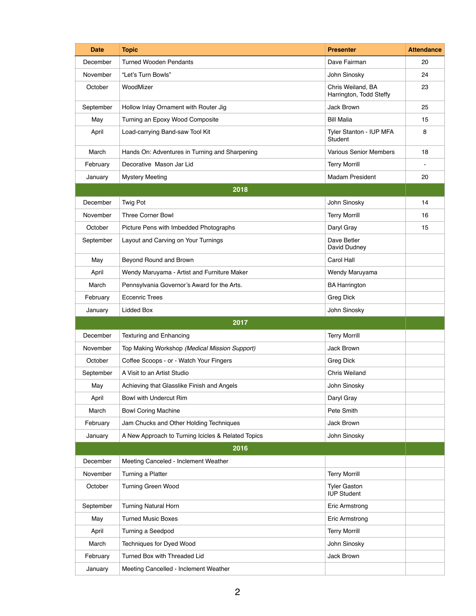| <b>Date</b> | <b>Topic</b>                                       | <b>Presenter</b>                             | <b>Attendance</b> |
|-------------|----------------------------------------------------|----------------------------------------------|-------------------|
| December    | <b>Turned Wooden Pendants</b>                      | Dave Fairman                                 | 20                |
| November    | "Let's Turn Bowls"                                 | John Sinosky                                 | 24                |
| October     | WoodMizer                                          | Chris Weiland, BA<br>Harrington, Todd Steffy | 23                |
| September   | Hollow Inlay Ornament with Router Jig              | Jack Brown                                   | 25                |
| May         | Turning an Epoxy Wood Composite                    | <b>Bill Malia</b>                            | 15                |
| April       | Load-carrying Band-saw Tool Kit                    | Tyler Stanton - IUP MFA<br>Student           | 8                 |
| March       | Hands On: Adventures in Turning and Sharpening     | <b>Various Senior Members</b>                | 18                |
| February    | Decorative Mason Jar Lid                           | <b>Terry Morrill</b>                         |                   |
| January     | <b>Mystery Meeting</b>                             | <b>Madam President</b>                       | 20                |
|             | 2018                                               |                                              |                   |
| December    | Twig Pot                                           | John Sinosky                                 | 14                |
| November    | <b>Three Corner Bowl</b>                           | <b>Terry Morrill</b>                         | 16                |
| October     | Picture Pens with Imbedded Photographs             | Daryl Gray                                   | 15                |
| September   | Layout and Carving on Your Turnings                | Dave Betler<br>David Dudney                  |                   |
| May         | Beyond Round and Brown                             | Carol Hall                                   |                   |
| April       | Wendy Maruyama - Artist and Furniture Maker        | Wendy Maruyama                               |                   |
| March       | Pennsylvania Governor's Award for the Arts.        | <b>BA Harrington</b>                         |                   |
| February    | <b>Eccenric Trees</b>                              | <b>Greg Dick</b>                             |                   |
| January     | Lidded Box                                         | John Sinosky                                 |                   |
|             | 2017                                               |                                              |                   |
| December    | <b>Texturing and Enhancing</b>                     | <b>Terry Morrill</b>                         |                   |
| November    | Top Making Workshop (Medical Mission Support)      | Jack Brown                                   |                   |
| October     | Coffee Scoops - or - Watch Your Fingers            | <b>Greg Dick</b>                             |                   |
| September   | A Visit to an Artist Studio                        | <b>Chris Weiland</b>                         |                   |
| May         | Achieving that Glasslike Finish and Angels         | John Sinosky                                 |                   |
| April       | Bowl with Undercut Rim                             | Daryl Gray                                   |                   |
| March       | <b>Bowl Coring Machine</b>                         | Pete Smith                                   |                   |
| February    | Jam Chucks and Other Holding Techniques            | Jack Brown                                   |                   |
| January     | A New Approach to Turning Icicles & Related Topics | John Sinosky                                 |                   |
|             | 2016                                               |                                              |                   |
| December    | Meeting Canceled - Inclement Weather               |                                              |                   |
| November    | Turning a Platter                                  | <b>Terry Morrill</b>                         |                   |
| October     | <b>Turning Green Wood</b>                          | <b>Tyler Gaston</b><br><b>IUP Student</b>    |                   |
| September   | <b>Turning Natural Horn</b>                        | Eric Armstrong                               |                   |
| May         | <b>Turned Music Boxes</b>                          | Eric Armstrong                               |                   |
| April       | Turning a Seedpod                                  | <b>Terry Morrill</b>                         |                   |
| March       | Techniques for Dyed Wood                           | John Sinosky                                 |                   |
| February    | Turned Box with Threaded Lid                       | Jack Brown                                   |                   |
| January     | Meeting Cancelled - Inclement Weather              |                                              |                   |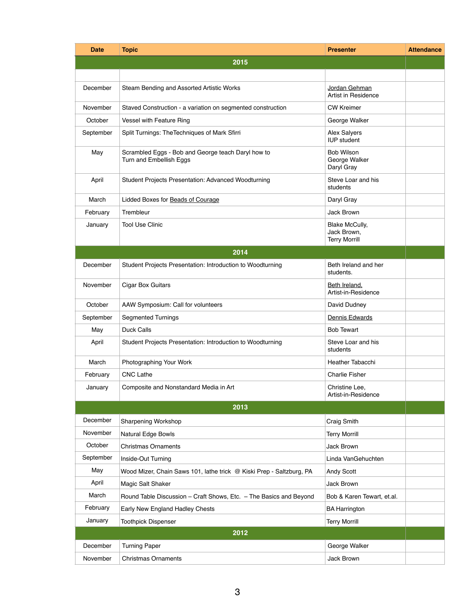| <b>Date</b> | <b>Topic</b>                                                                  | <b>Presenter</b>                                             | <b>Attendance</b> |
|-------------|-------------------------------------------------------------------------------|--------------------------------------------------------------|-------------------|
|             | 2015                                                                          |                                                              |                   |
|             |                                                                               |                                                              |                   |
| December    | Steam Bending and Assorted Artistic Works                                     | Jordan Gehman<br>Artist in Residence                         |                   |
| November    | Staved Construction - a variation on segmented construction                   | <b>CW Kreimer</b>                                            |                   |
| October     | Vessel with Feature Ring                                                      | George Walker                                                |                   |
| September   | Split Turnings: The Techniques of Mark Sfirri                                 | <b>Alex Salyers</b><br><b>IUP</b> student                    |                   |
| May         | Scrambled Eggs - Bob and George teach Daryl how to<br>Turn and Embellish Eggs | <b>Bob Wilson</b><br>George Walker<br>Daryl Gray             |                   |
| April       | Student Projects Presentation: Advanced Woodturning                           | Steve Loar and his<br>students                               |                   |
| March       | Lidded Boxes for Beads of Courage                                             | Daryl Gray                                                   |                   |
| February    | Trembleur                                                                     | Jack Brown                                                   |                   |
| January     | <b>Tool Use Clinic</b>                                                        | <b>Blake McCully,</b><br>Jack Brown,<br><b>Terry Morrill</b> |                   |
|             | 2014                                                                          |                                                              |                   |
| December    | Student Projects Presentation: Introduction to Woodturning                    | Beth Ireland and her<br>students.                            |                   |
| November    | <b>Cigar Box Guitars</b>                                                      | Beth Ireland,<br>Artist-in-Residence                         |                   |
| October     | AAW Symposium: Call for volunteers                                            | David Dudney                                                 |                   |
| September   | <b>Segmented Turnings</b>                                                     | Dennis Edwards                                               |                   |
| May         | Duck Calls                                                                    | <b>Bob Tewart</b>                                            |                   |
| April       | Student Projects Presentation: Introduction to Woodturning                    | Steve Loar and his<br>students                               |                   |
| March       | Photographing Your Work                                                       | Heather Tabacchi                                             |                   |
| February    | <b>CNC Lathe</b>                                                              | <b>Charlie Fisher</b>                                        |                   |
| January     | Composite and Nonstandard Media in Art                                        | Christine Lee,<br>Artist-in-Residence                        |                   |
|             | 2013                                                                          |                                                              |                   |
| December    | Sharpening Workshop                                                           | Craig Smith                                                  |                   |
| November    | Natural Edge Bowls                                                            | <b>Terry Morrill</b>                                         |                   |
| October     | <b>Christmas Ornaments</b>                                                    | Jack Brown                                                   |                   |
| September   | Inside-Out Turning                                                            | Linda VanGehuchten                                           |                   |
| May         | Wood Mizer, Chain Saws 101, lathe trick @ Kiski Prep - Saltzburg, PA          | Andy Scott                                                   |                   |
| April       | Magic Salt Shaker                                                             | Jack Brown                                                   |                   |
| March       | Round Table Discussion - Craft Shows, Etc. - The Basics and Beyond            | Bob & Karen Tewart, et.al.                                   |                   |
| February    | Early New England Hadley Chests                                               | <b>BA Harrington</b>                                         |                   |
| January     | <b>Toothpick Dispenser</b>                                                    | <b>Terry Morrill</b>                                         |                   |
|             | 2012                                                                          |                                                              |                   |
| December    | <b>Turning Paper</b>                                                          | George Walker                                                |                   |
| November    | <b>Christmas Ornaments</b>                                                    | Jack Brown                                                   |                   |